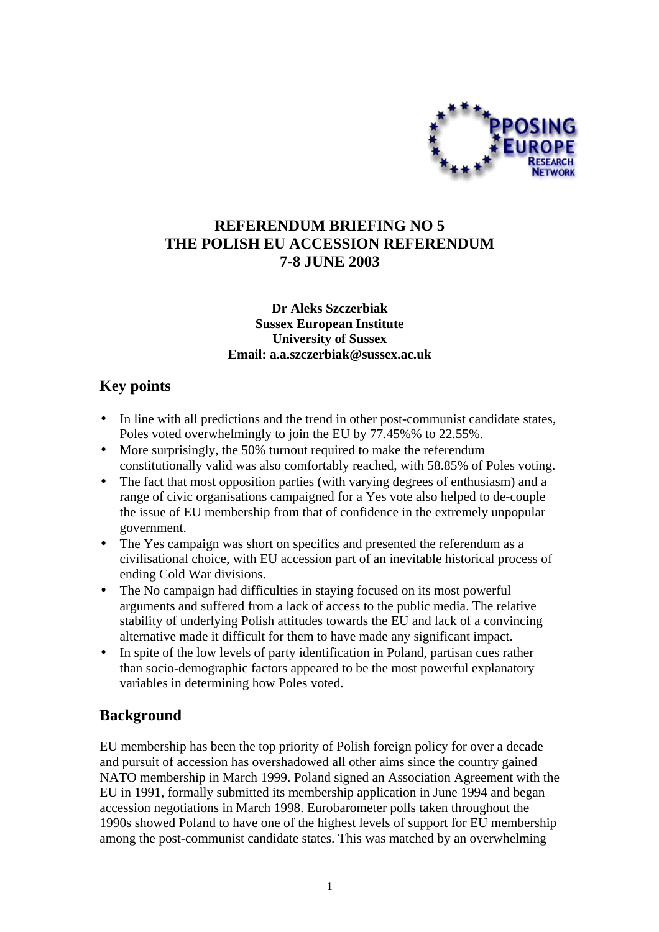

# **REFERENDUM BRIEFING NO 5 THE POLISH EU ACCESSION REFERENDUM 7-8 JUNE 2003**

#### **Dr Aleks Szczerbiak Sussex European Institute University of Sussex Email: a.a.szczerbiak@sussex.ac.uk**

# **Key points**

- In line with all predictions and the trend in other post-communist candidate states, Poles voted overwhelmingly to join the EU by 77.45%% to 22.55%.
- More surprisingly, the 50% turnout required to make the referendum constitutionally valid was also comfortably reached, with 58.85% of Poles voting.
- The fact that most opposition parties (with varying degrees of enthusiasm) and a range of civic organisations campaigned for a Yes vote also helped to de-couple the issue of EU membership from that of confidence in the extremely unpopular government.
- The Yes campaign was short on specifics and presented the referendum as a civilisational choice, with EU accession part of an inevitable historical process of ending Cold War divisions.
- The No campaign had difficulties in staying focused on its most powerful arguments and suffered from a lack of access to the public media. The relative stability of underlying Polish attitudes towards the EU and lack of a convincing alternative made it difficult for them to have made any significant impact.
- In spite of the low levels of party identification in Poland, partisan cues rather than socio-demographic factors appeared to be the most powerful explanatory variables in determining how Poles voted.

## **Background**

EU membership has been the top priority of Polish foreign policy for over a decade and pursuit of accession has overshadowed all other aims since the country gained NATO membership in March 1999. Poland signed an Association Agreement with the EU in 1991, formally submitted its membership application in June 1994 and began accession negotiations in March 1998. Eurobarometer polls taken throughout the 1990s showed Poland to have one of the highest levels of support for EU membership among the post-communist candidate states. This was matched by an overwhelming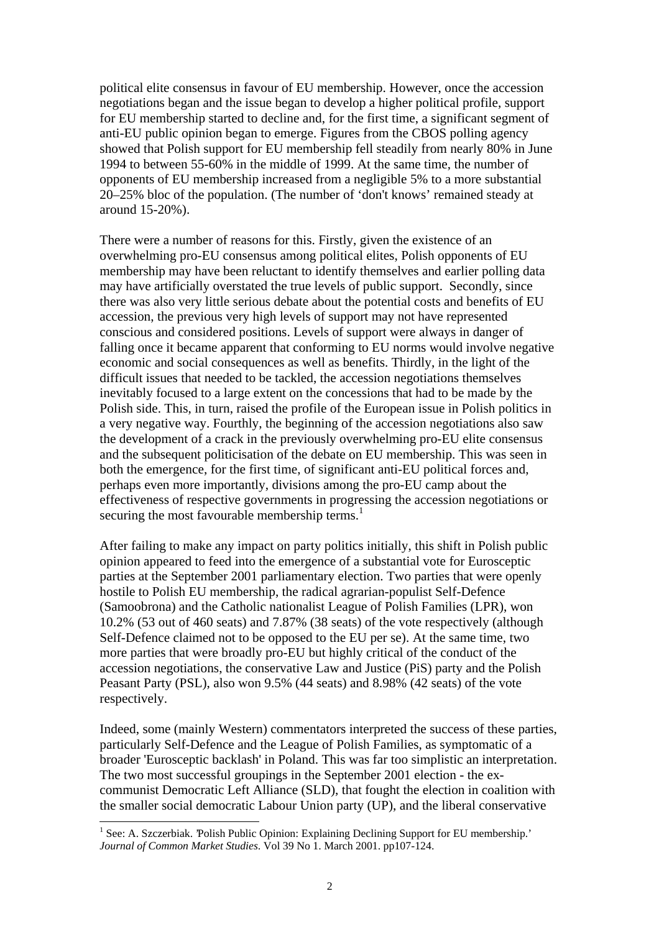political elite consensus in favour of EU membership. However, once the accession negotiations began and the issue began to develop a higher political profile, support for EU membership started to decline and, for the first time, a significant segment of anti-EU public opinion began to emerge. Figures from the CBOS polling agency showed that Polish support for EU membership fell steadily from nearly 80% in June 1994 to between 55-60% in the middle of 1999. At the same time, the number of opponents of EU membership increased from a negligible 5% to a more substantial 20–25% bloc of the population. (The number of 'don't knows' remained steady at around 15-20%).

There were a number of reasons for this. Firstly, given the existence of an overwhelming pro-EU consensus among political elites, Polish opponents of EU membership may have been reluctant to identify themselves and earlier polling data may have artificially overstated the true levels of public support. Secondly, since there was also very little serious debate about the potential costs and benefits of EU accession, the previous very high levels of support may not have represented conscious and considered positions. Levels of support were always in danger of falling once it became apparent that conforming to EU norms would involve negative economic and social consequences as well as benefits. Thirdly, in the light of the difficult issues that needed to be tackled, the accession negotiations themselves inevitably focused to a large extent on the concessions that had to be made by the Polish side. This, in turn, raised the profile of the European issue in Polish politics in a very negative way. Fourthly, the beginning of the accession negotiations also saw the development of a crack in the previously overwhelming pro-EU elite consensus and the subsequent politicisation of the debate on EU membership. This was seen in both the emergence, for the first time, of significant anti-EU political forces and, perhaps even more importantly, divisions among the pro-EU camp about the effectiveness of respective governments in progressing the accession negotiations or securing the most favourable membership terms.<sup>1</sup>

After failing to make any impact on party politics initially, this shift in Polish public opinion appeared to feed into the emergence of a substantial vote for Eurosceptic parties at the September 2001 parliamentary election. Two parties that were openly hostile to Polish EU membership, the radical agrarian-populist Self-Defence (Samoobrona) and the Catholic nationalist League of Polish Families (LPR), won 10.2% (53 out of 460 seats) and 7.87% (38 seats) of the vote respectively (although Self-Defence claimed not to be opposed to the EU per se). At the same time, two more parties that were broadly pro-EU but highly critical of the conduct of the accession negotiations, the conservative Law and Justice (PiS) party and the Polish Peasant Party (PSL), also won 9.5% (44 seats) and 8.98% (42 seats) of the vote respectively.

Indeed, some (mainly Western) commentators interpreted the success of these parties, particularly Self-Defence and the League of Polish Families, as symptomatic of a broader 'Eurosceptic backlash' in Poland. This was far too simplistic an interpretation. The two most successful groupings in the September 2001 election - the excommunist Democratic Left Alliance (SLD), that fought the election in coalition with the smaller social democratic Labour Union party (UP), and the liberal conservative

 $\overline{a}$ 

<sup>&</sup>lt;sup>1</sup> See: A. Szczerbiak. 'Polish Public Opinion: Explaining Declining Support for EU membership.' *Journal of Common Market Studies*. Vol 39 No 1. March 2001. pp107-124.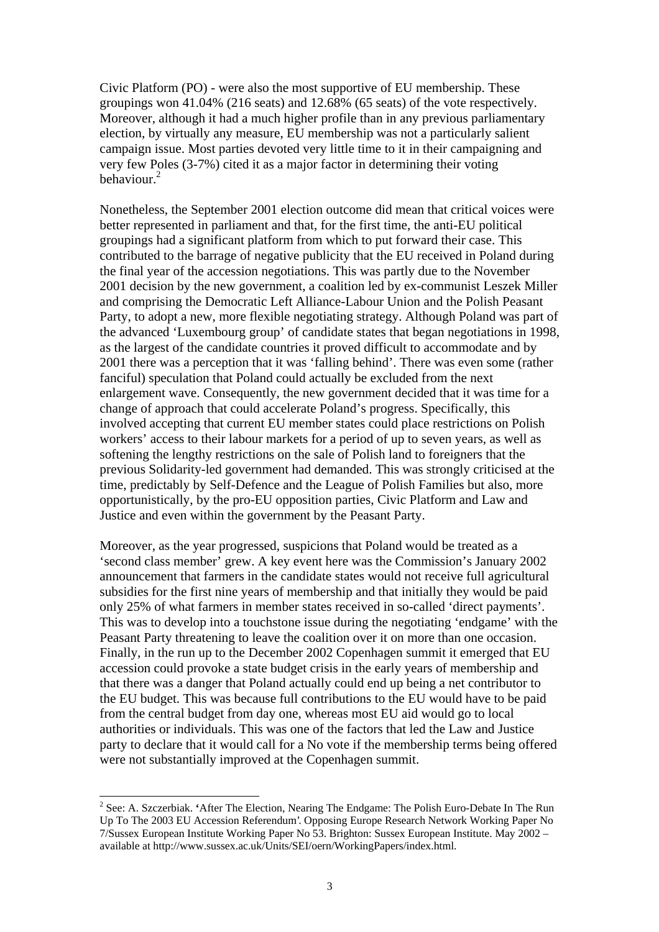Civic Platform (PO) - were also the most supportive of EU membership. These groupings won 41.04% (216 seats) and 12.68% (65 seats) of the vote respectively. Moreover, although it had a much higher profile than in any previous parliamentary election, by virtually any measure, EU membership was not a particularly salient campaign issue. Most parties devoted very little time to it in their campaigning and very few Poles (3-7%) cited it as a major factor in determining their voting behaviour.<sup>2</sup>

Nonetheless, the September 2001 election outcome did mean that critical voices were better represented in parliament and that, for the first time, the anti-EU political groupings had a significant platform from which to put forward their case. This contributed to the barrage of negative publicity that the EU received in Poland during the final year of the accession negotiations. This was partly due to the November 2001 decision by the new government, a coalition led by ex-communist Leszek Miller and comprising the Democratic Left Alliance-Labour Union and the Polish Peasant Party, to adopt a new, more flexible negotiating strategy. Although Poland was part of the advanced 'Luxembourg group' of candidate states that began negotiations in 1998, as the largest of the candidate countries it proved difficult to accommodate and by 2001 there was a perception that it was 'falling behind'. There was even some (rather fanciful) speculation that Poland could actually be excluded from the next enlargement wave. Consequently, the new government decided that it was time for a change of approach that could accelerate Poland's progress. Specifically, this involved accepting that current EU member states could place restrictions on Polish workers' access to their labour markets for a period of up to seven years, as well as softening the lengthy restrictions on the sale of Polish land to foreigners that the previous Solidarity-led government had demanded. This was strongly criticised at the time, predictably by Self-Defence and the League of Polish Families but also, more opportunistically, by the pro-EU opposition parties, Civic Platform and Law and Justice and even within the government by the Peasant Party.

Moreover, as the year progressed, suspicions that Poland would be treated as a 'second class member' grew. A key event here was the Commission's January 2002 announcement that farmers in the candidate states would not receive full agricultural subsidies for the first nine years of membership and that initially they would be paid only 25% of what farmers in member states received in so-called 'direct payments'. This was to develop into a touchstone issue during the negotiating 'endgame' with the Peasant Party threatening to leave the coalition over it on more than one occasion. Finally, in the run up to the December 2002 Copenhagen summit it emerged that EU accession could provoke a state budget crisis in the early years of membership and that there was a danger that Poland actually could end up being a net contributor to the EU budget. This was because full contributions to the EU would have to be paid from the central budget from day one, whereas most EU aid would go to local authorities or individuals. This was one of the factors that led the Law and Justice party to declare that it would call for a No vote if the membership terms being offered were not substantially improved at the Copenhagen summit.

 2 See: A. Szczerbiak. **'**After The Election, Nearing The Endgame: The Polish Euro-Debate In The Run Up To The 2003 EU Accession Referendum'. Opposing Europe Research Network Working Paper No 7/Sussex European Institute Working Paper No 53. Brighton: Sussex European Institute. May 2002 – available at http://www.sussex.ac.uk/Units/SEI/oern/WorkingPapers/index.html.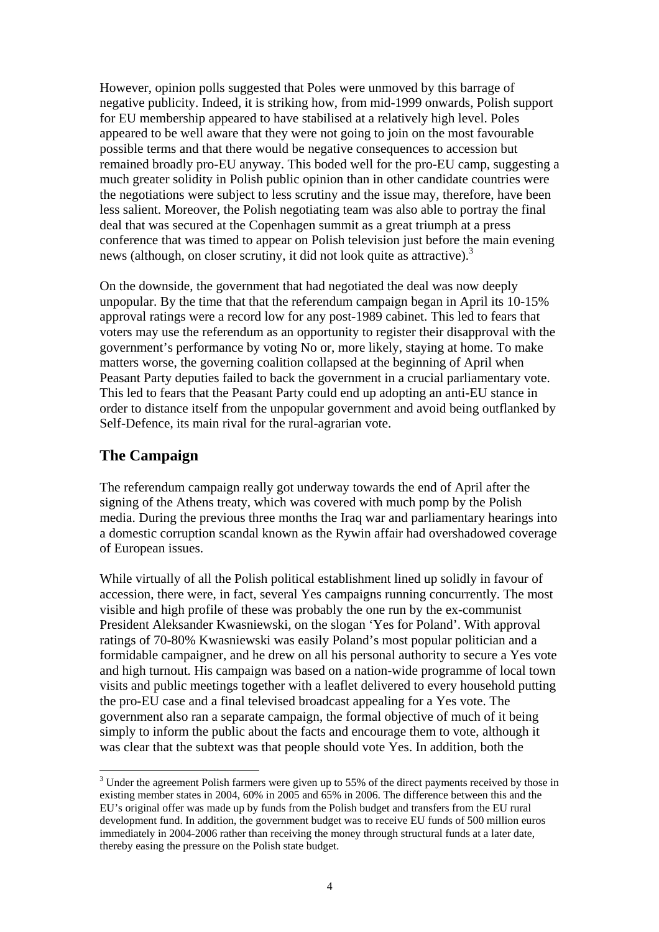However, opinion polls suggested that Poles were unmoved by this barrage of negative publicity. Indeed, it is striking how, from mid-1999 onwards, Polish support for EU membership appeared to have stabilised at a relatively high level. Poles appeared to be well aware that they were not going to join on the most favourable possible terms and that there would be negative consequences to accession but remained broadly pro-EU anyway. This boded well for the pro-EU camp, suggesting a much greater solidity in Polish public opinion than in other candidate countries were the negotiations were subject to less scrutiny and the issue may, therefore, have been less salient. Moreover, the Polish negotiating team was also able to portray the final deal that was secured at the Copenhagen summit as a great triumph at a press conference that was timed to appear on Polish television just before the main evening news (although, on closer scrutiny, it did not look quite as attractive).<sup>3</sup>

On the downside, the government that had negotiated the deal was now deeply unpopular. By the time that that the referendum campaign began in April its 10-15% approval ratings were a record low for any post-1989 cabinet. This led to fears that voters may use the referendum as an opportunity to register their disapproval with the government's performance by voting No or, more likely, staying at home. To make matters worse, the governing coalition collapsed at the beginning of April when Peasant Party deputies failed to back the government in a crucial parliamentary vote. This led to fears that the Peasant Party could end up adopting an anti-EU stance in order to distance itself from the unpopular government and avoid being outflanked by Self-Defence, its main rival for the rural-agrarian vote.

## **The Campaign**

The referendum campaign really got underway towards the end of April after the signing of the Athens treaty, which was covered with much pomp by the Polish media. During the previous three months the Iraq war and parliamentary hearings into a domestic corruption scandal known as the Rywin affair had overshadowed coverage of European issues.

While virtually of all the Polish political establishment lined up solidly in favour of accession, there were, in fact, several Yes campaigns running concurrently. The most visible and high profile of these was probably the one run by the ex-communist President Aleksander Kwasniewski, on the slogan 'Yes for Poland'. With approval ratings of 70-80% Kwasniewski was easily Poland's most popular politician and a formidable campaigner, and he drew on all his personal authority to secure a Yes vote and high turnout. His campaign was based on a nation-wide programme of local town visits and public meetings together with a leaflet delivered to every household putting the pro-EU case and a final televised broadcast appealing for a Yes vote. The government also ran a separate campaign, the formal objective of much of it being simply to inform the public about the facts and encourage them to vote, although it was clear that the subtext was that people should vote Yes. In addition, both the

 $\overline{a}$  $3$  Under the agreement Polish farmers were given up to 55% of the direct payments received by those in existing member states in 2004, 60% in 2005 and 65% in 2006. The difference between this and the EU's original offer was made up by funds from the Polish budget and transfers from the EU rural development fund. In addition, the government budget was to receive EU funds of 500 million euros immediately in 2004-2006 rather than receiving the money through structural funds at a later date, thereby easing the pressure on the Polish state budget.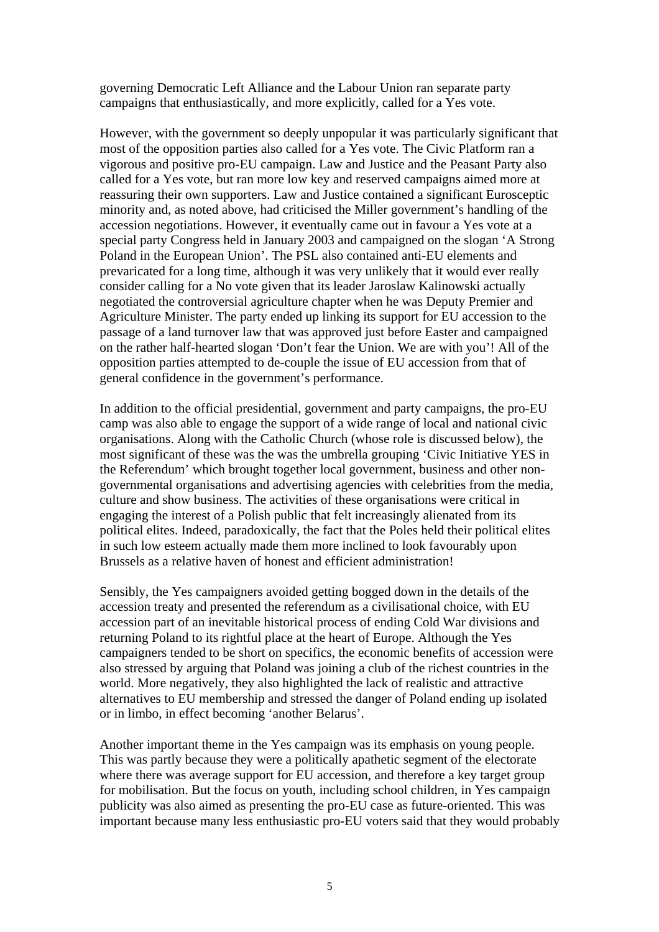governing Democratic Left Alliance and the Labour Union ran separate party campaigns that enthusiastically, and more explicitly, called for a Yes vote.

However, with the government so deeply unpopular it was particularly significant that most of the opposition parties also called for a Yes vote. The Civic Platform ran a vigorous and positive pro-EU campaign. Law and Justice and the Peasant Party also called for a Yes vote, but ran more low key and reserved campaigns aimed more at reassuring their own supporters. Law and Justice contained a significant Eurosceptic minority and, as noted above, had criticised the Miller government's handling of the accession negotiations. However, it eventually came out in favour a Yes vote at a special party Congress held in January 2003 and campaigned on the slogan 'A Strong Poland in the European Union'. The PSL also contained anti-EU elements and prevaricated for a long time, although it was very unlikely that it would ever really consider calling for a No vote given that its leader Jaroslaw Kalinowski actually negotiated the controversial agriculture chapter when he was Deputy Premier and Agriculture Minister. The party ended up linking its support for EU accession to the passage of a land turnover law that was approved just before Easter and campaigned on the rather half-hearted slogan 'Don't fear the Union. We are with you'! All of the opposition parties attempted to de-couple the issue of EU accession from that of general confidence in the government's performance.

In addition to the official presidential, government and party campaigns, the pro-EU camp was also able to engage the support of a wide range of local and national civic organisations. Along with the Catholic Church (whose role is discussed below), the most significant of these was the was the umbrella grouping 'Civic Initiative YES in the Referendum' which brought together local government, business and other nongovernmental organisations and advertising agencies with celebrities from the media, culture and show business. The activities of these organisations were critical in engaging the interest of a Polish public that felt increasingly alienated from its political elites. Indeed, paradoxically, the fact that the Poles held their political elites in such low esteem actually made them more inclined to look favourably upon Brussels as a relative haven of honest and efficient administration!

Sensibly, the Yes campaigners avoided getting bogged down in the details of the accession treaty and presented the referendum as a civilisational choice, with EU accession part of an inevitable historical process of ending Cold War divisions and returning Poland to its rightful place at the heart of Europe. Although the Yes campaigners tended to be short on specifics, the economic benefits of accession were also stressed by arguing that Poland was joining a club of the richest countries in the world. More negatively, they also highlighted the lack of realistic and attractive alternatives to EU membership and stressed the danger of Poland ending up isolated or in limbo, in effect becoming 'another Belarus'.

Another important theme in the Yes campaign was its emphasis on young people. This was partly because they were a politically apathetic segment of the electorate where there was average support for EU accession, and therefore a key target group for mobilisation. But the focus on youth, including school children, in Yes campaign publicity was also aimed as presenting the pro-EU case as future-oriented. This was important because many less enthusiastic pro-EU voters said that they would probably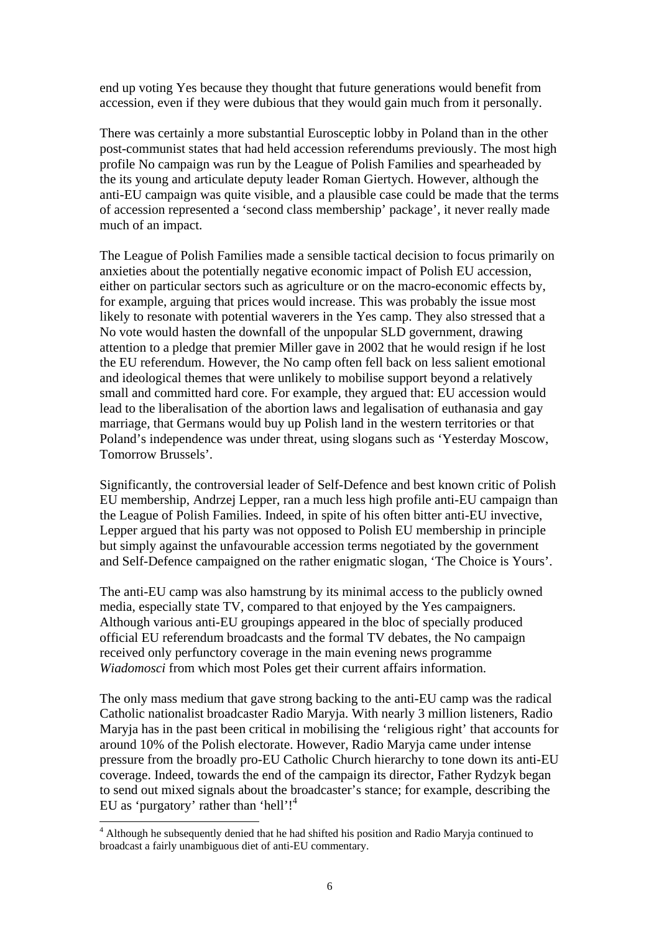end up voting Yes because they thought that future generations would benefit from accession, even if they were dubious that they would gain much from it personally.

There was certainly a more substantial Eurosceptic lobby in Poland than in the other post-communist states that had held accession referendums previously. The most high profile No campaign was run by the League of Polish Families and spearheaded by the its young and articulate deputy leader Roman Giertych. However, although the anti-EU campaign was quite visible, and a plausible case could be made that the terms of accession represented a 'second class membership' package', it never really made much of an impact.

The League of Polish Families made a sensible tactical decision to focus primarily on anxieties about the potentially negative economic impact of Polish EU accession, either on particular sectors such as agriculture or on the macro-economic effects by, for example, arguing that prices would increase. This was probably the issue most likely to resonate with potential waverers in the Yes camp. They also stressed that a No vote would hasten the downfall of the unpopular SLD government, drawing attention to a pledge that premier Miller gave in 2002 that he would resign if he lost the EU referendum. However, the No camp often fell back on less salient emotional and ideological themes that were unlikely to mobilise support beyond a relatively small and committed hard core. For example, they argued that: EU accession would lead to the liberalisation of the abortion laws and legalisation of euthanasia and gay marriage, that Germans would buy up Polish land in the western territories or that Poland's independence was under threat, using slogans such as 'Yesterday Moscow, Tomorrow Brussels'.

Significantly, the controversial leader of Self-Defence and best known critic of Polish EU membership, Andrzej Lepper, ran a much less high profile anti-EU campaign than the League of Polish Families. Indeed, in spite of his often bitter anti-EU invective, Lepper argued that his party was not opposed to Polish EU membership in principle but simply against the unfavourable accession terms negotiated by the government and Self-Defence campaigned on the rather enigmatic slogan, 'The Choice is Yours'.

The anti-EU camp was also hamstrung by its minimal access to the publicly owned media, especially state TV, compared to that enjoyed by the Yes campaigners. Although various anti-EU groupings appeared in the bloc of specially produced official EU referendum broadcasts and the formal TV debates, the No campaign received only perfunctory coverage in the main evening news programme *Wiadomosci* from which most Poles get their current affairs information.

The only mass medium that gave strong backing to the anti-EU camp was the radical Catholic nationalist broadcaster Radio Maryja. With nearly 3 million listeners, Radio Maryja has in the past been critical in mobilising the 'religious right' that accounts for around 10% of the Polish electorate. However, Radio Maryja came under intense pressure from the broadly pro-EU Catholic Church hierarchy to tone down its anti-EU coverage. Indeed, towards the end of the campaign its director, Father Rydzyk began to send out mixed signals about the broadcaster's stance; for example, describing the EU as 'purgatory' rather than 'hell'!<sup>4</sup>

 $\overline{a}$ 

<sup>&</sup>lt;sup>4</sup> Although he subsequently denied that he had shifted his position and Radio Maryja continued to broadcast a fairly unambiguous diet of anti-EU commentary.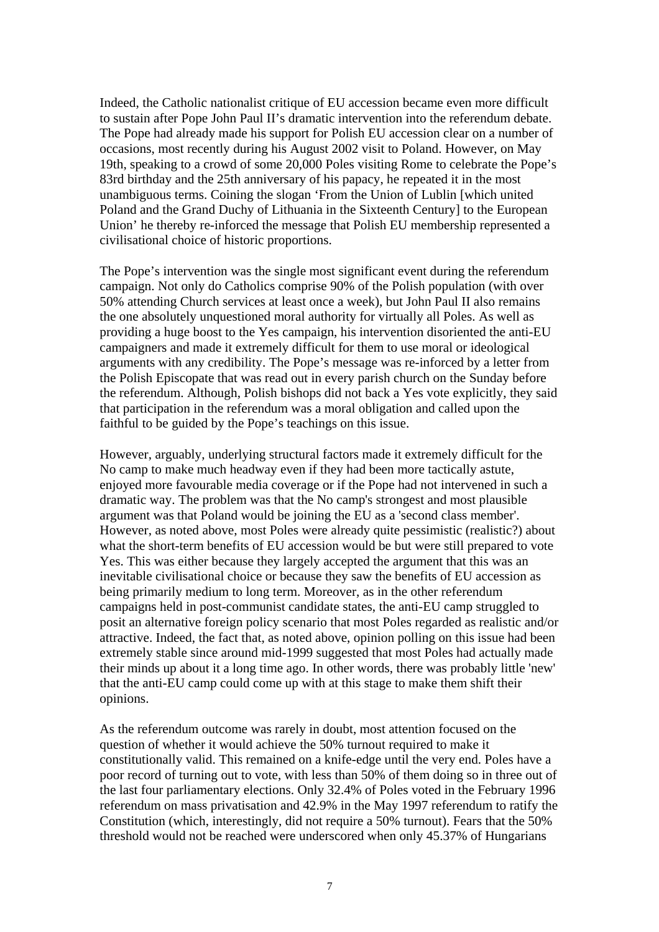Indeed, the Catholic nationalist critique of EU accession became even more difficult to sustain after Pope John Paul II's dramatic intervention into the referendum debate. The Pope had already made his support for Polish EU accession clear on a number of occasions, most recently during his August 2002 visit to Poland. However, on May 19th, speaking to a crowd of some 20,000 Poles visiting Rome to celebrate the Pope's 83rd birthday and the 25th anniversary of his papacy, he repeated it in the most unambiguous terms. Coining the slogan 'From the Union of Lublin [which united Poland and the Grand Duchy of Lithuania in the Sixteenth Century] to the European Union' he thereby re-inforced the message that Polish EU membership represented a civilisational choice of historic proportions.

The Pope's intervention was the single most significant event during the referendum campaign. Not only do Catholics comprise 90% of the Polish population (with over 50% attending Church services at least once a week), but John Paul II also remains the one absolutely unquestioned moral authority for virtually all Poles. As well as providing a huge boost to the Yes campaign, his intervention disoriented the anti-EU campaigners and made it extremely difficult for them to use moral or ideological arguments with any credibility. The Pope's message was re-inforced by a letter from the Polish Episcopate that was read out in every parish church on the Sunday before the referendum. Although, Polish bishops did not back a Yes vote explicitly, they said that participation in the referendum was a moral obligation and called upon the faithful to be guided by the Pope's teachings on this issue.

However, arguably, underlying structural factors made it extremely difficult for the No camp to make much headway even if they had been more tactically astute, enjoyed more favourable media coverage or if the Pope had not intervened in such a dramatic way. The problem was that the No camp's strongest and most plausible argument was that Poland would be joining the EU as a 'second class member'. However, as noted above, most Poles were already quite pessimistic (realistic?) about what the short-term benefits of EU accession would be but were still prepared to vote Yes. This was either because they largely accepted the argument that this was an inevitable civilisational choice or because they saw the benefits of EU accession as being primarily medium to long term. Moreover, as in the other referendum campaigns held in post-communist candidate states, the anti-EU camp struggled to posit an alternative foreign policy scenario that most Poles regarded as realistic and/or attractive. Indeed, the fact that, as noted above, opinion polling on this issue had been extremely stable since around mid-1999 suggested that most Poles had actually made their minds up about it a long time ago. In other words, there was probably little 'new' that the anti-EU camp could come up with at this stage to make them shift their opinions.

As the referendum outcome was rarely in doubt, most attention focused on the question of whether it would achieve the 50% turnout required to make it constitutionally valid. This remained on a knife-edge until the very end. Poles have a poor record of turning out to vote, with less than 50% of them doing so in three out of the last four parliamentary elections. Only 32.4% of Poles voted in the February 1996 referendum on mass privatisation and 42.9% in the May 1997 referendum to ratify the Constitution (which, interestingly, did not require a 50% turnout). Fears that the 50% threshold would not be reached were underscored when only 45.37% of Hungarians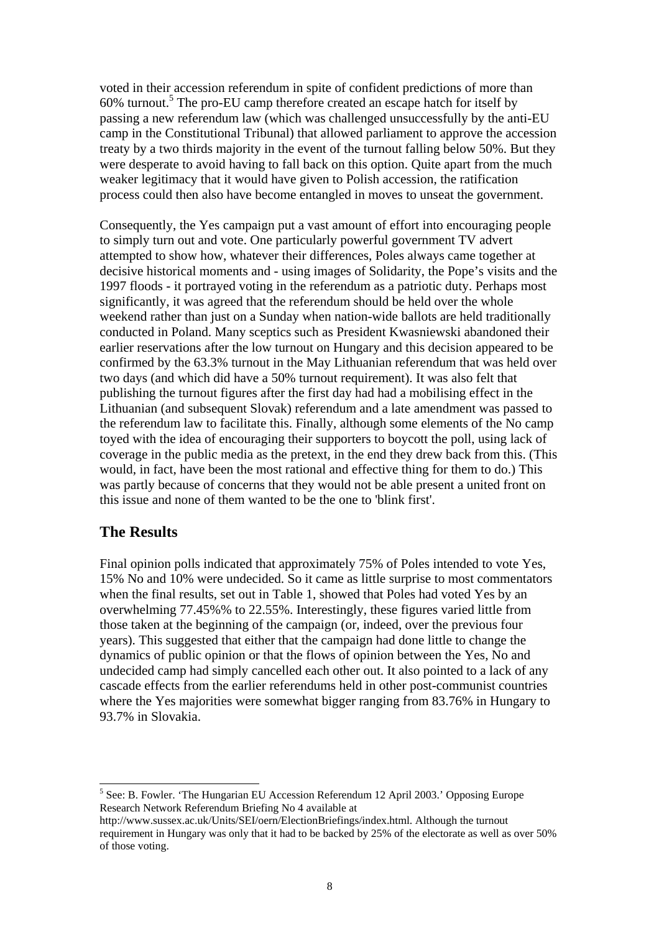voted in their accession referendum in spite of confident predictions of more than 60% turnout.<sup>5</sup> The pro-EU camp therefore created an escape hatch for itself by passing a new referendum law (which was challenged unsuccessfully by the anti-EU camp in the Constitutional Tribunal) that allowed parliament to approve the accession treaty by a two thirds majority in the event of the turnout falling below 50%. But they were desperate to avoid having to fall back on this option. Quite apart from the much weaker legitimacy that it would have given to Polish accession, the ratification process could then also have become entangled in moves to unseat the government.

Consequently, the Yes campaign put a vast amount of effort into encouraging people to simply turn out and vote. One particularly powerful government TV advert attempted to show how, whatever their differences, Poles always came together at decisive historical moments and - using images of Solidarity, the Pope's visits and the 1997 floods - it portrayed voting in the referendum as a patriotic duty. Perhaps most significantly, it was agreed that the referendum should be held over the whole weekend rather than just on a Sunday when nation-wide ballots are held traditionally conducted in Poland. Many sceptics such as President Kwasniewski abandoned their earlier reservations after the low turnout on Hungary and this decision appeared to be confirmed by the 63.3% turnout in the May Lithuanian referendum that was held over two days (and which did have a 50% turnout requirement). It was also felt that publishing the turnout figures after the first day had had a mobilising effect in the Lithuanian (and subsequent Slovak) referendum and a late amendment was passed to the referendum law to facilitate this. Finally, although some elements of the No camp toyed with the idea of encouraging their supporters to boycott the poll, using lack of coverage in the public media as the pretext, in the end they drew back from this. (This would, in fact, have been the most rational and effective thing for them to do.) This was partly because of concerns that they would not be able present a united front on this issue and none of them wanted to be the one to 'blink first'.

### **The Results**

 $\overline{a}$ 

Final opinion polls indicated that approximately 75% of Poles intended to vote Yes, 15% No and 10% were undecided. So it came as little surprise to most commentators when the final results, set out in Table 1, showed that Poles had voted Yes by an overwhelming 77.45%% to 22.55%. Interestingly, these figures varied little from those taken at the beginning of the campaign (or, indeed, over the previous four years). This suggested that either that the campaign had done little to change the dynamics of public opinion or that the flows of opinion between the Yes, No and undecided camp had simply cancelled each other out. It also pointed to a lack of any cascade effects from the earlier referendums held in other post-communist countries where the Yes majorities were somewhat bigger ranging from 83.76% in Hungary to 93.7% in Slovakia.

<sup>&</sup>lt;sup>5</sup> See: B. Fowler. 'The Hungarian EU Accession Referendum 12 April 2003.' Opposing Europe Research Network Referendum Briefing No 4 available at

http://www.sussex.ac.uk/Units/SEI/oern/ElectionBriefings/index.html. Although the turnout requirement in Hungary was only that it had to be backed by 25% of the electorate as well as over 50% of those voting.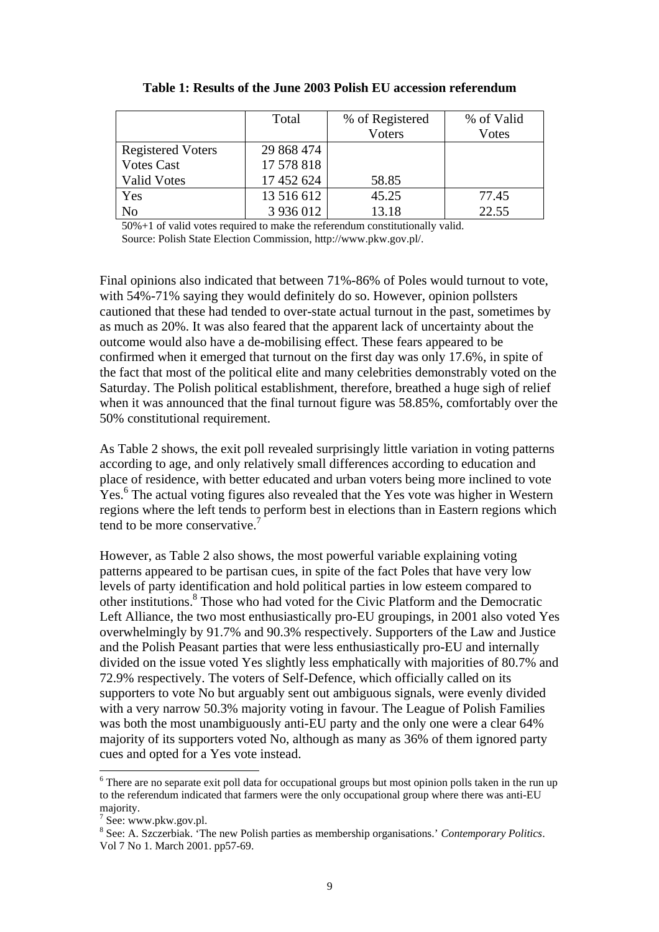|                          | Total      | % of Registered | % of Valid |
|--------------------------|------------|-----------------|------------|
|                          |            | Voters          | Votes      |
| <b>Registered Voters</b> | 29 868 474 |                 |            |
| <b>Votes Cast</b>        | 17 578 818 |                 |            |
| <b>Valid Votes</b>       | 17 452 624 | 58.85           |            |
| Yes                      | 13 516 612 | 45.25           | 77.45      |
| N <sub>o</sub>           | 3 936 012  | 13.18           | 22.55      |

**Table 1: Results of the June 2003 Polish EU accession referendum**

50%+1 of valid votes required to make the referendum constitutionally valid. Source: Polish State Election Commission, http://www.pkw.gov.pl/.

Final opinions also indicated that between 71%-86% of Poles would turnout to vote, with 54%-71% saying they would definitely do so. However, opinion pollsters cautioned that these had tended to over-state actual turnout in the past, sometimes by as much as 20%. It was also feared that the apparent lack of uncertainty about the outcome would also have a de-mobilising effect. These fears appeared to be confirmed when it emerged that turnout on the first day was only 17.6%, in spite of the fact that most of the political elite and many celebrities demonstrably voted on the Saturday. The Polish political establishment, therefore, breathed a huge sigh of relief when it was announced that the final turnout figure was 58.85%, comfortably over the 50% constitutional requirement.

As Table 2 shows, the exit poll revealed surprisingly little variation in voting patterns according to age, and only relatively small differences according to education and place of residence, with better educated and urban voters being more inclined to vote Yes.<sup>6</sup> The actual voting figures also revealed that the Yes vote was higher in Western regions where the left tends to perform best in elections than in Eastern regions which tend to be more conservative.<sup>7</sup>

However, as Table 2 also shows, the most powerful variable explaining voting patterns appeared to be partisan cues, in spite of the fact Poles that have very low levels of party identification and hold political parties in low esteem compared to other institutions.<sup>8</sup> Those who had voted for the Civic Platform and the Democratic Left Alliance, the two most enthusiastically pro-EU groupings, in 2001 also voted Yes overwhelmingly by 91.7% and 90.3% respectively. Supporters of the Law and Justice and the Polish Peasant parties that were less enthusiastically pro-EU and internally divided on the issue voted Yes slightly less emphatically with majorities of 80.7% and 72.9% respectively. The voters of Self-Defence, which officially called on its supporters to vote No but arguably sent out ambiguous signals, were evenly divided with a very narrow 50.3% majority voting in favour. The League of Polish Families was both the most unambiguously anti-EU party and the only one were a clear 64% majority of its supporters voted No, although as many as 36% of them ignored party cues and opted for a Yes vote instead.

 $\overline{a}$ 

<sup>&</sup>lt;sup>6</sup> There are no separate exit poll data for occupational groups but most opinion polls taken in the run up to the referendum indicated that farmers were the only occupational group where there was anti-EU majority.

<sup>&</sup>lt;sup>7</sup> See: www.pkw.gov.pl.

<sup>8</sup> See: A. Szczerbiak. 'The new Polish parties as membership organisations.' *Contemporary Politics*. Vol 7 No 1. March 2001. pp57-69.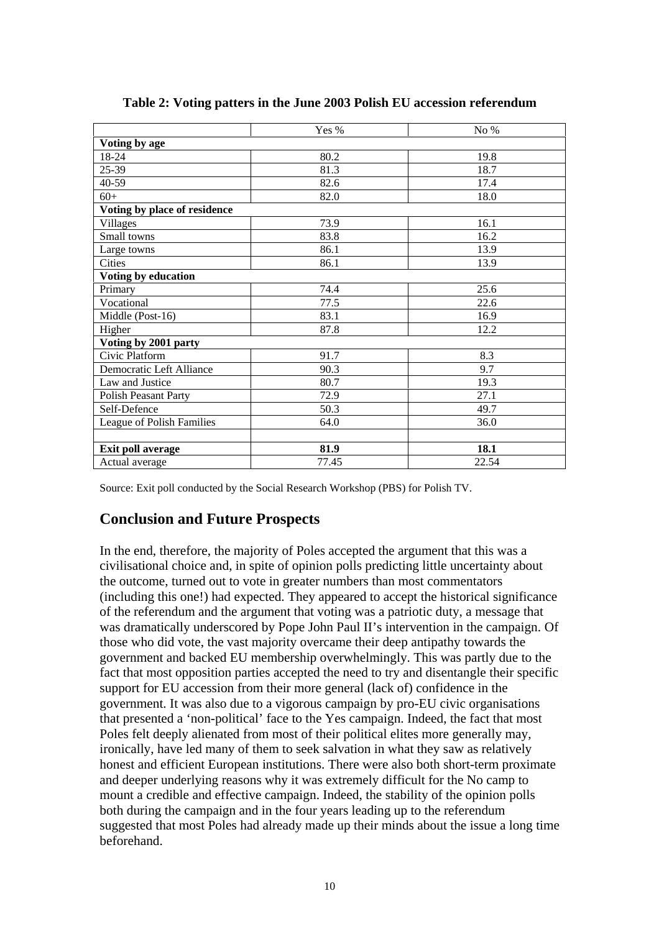|                              | Yes % | No%   |
|------------------------------|-------|-------|
| Voting by age                |       |       |
| 18-24                        | 80.2  | 19.8  |
| 25-39                        | 81.3  | 18.7  |
| 40-59                        | 82.6  | 17.4  |
| $60+$                        | 82.0  | 18.0  |
| Voting by place of residence |       |       |
| Villages                     | 73.9  | 16.1  |
| Small towns                  | 83.8  | 16.2  |
| Large towns                  | 86.1  | 13.9  |
| <b>Cities</b>                | 86.1  | 13.9  |
| Voting by education          |       |       |
| Primary                      | 74.4  | 25.6  |
| Vocational                   | 77.5  | 22.6  |
| Middle (Post-16)             | 83.1  | 16.9  |
| Higher                       | 87.8  | 12.2  |
| Voting by 2001 party         |       |       |
| Civic Platform               | 91.7  | 8.3   |
| Democratic Left Alliance     | 90.3  | 9.7   |
| Law and Justice              | 80.7  | 19.3  |
| <b>Polish Peasant Party</b>  | 72.9  | 27.1  |
| Self-Defence                 | 50.3  | 49.7  |
| League of Polish Families    | 64.0  | 36.0  |
|                              |       |       |
| Exit poll average            | 81.9  | 18.1  |
| Actual average               | 77.45 | 22.54 |

Source: Exit poll conducted by the Social Research Workshop (PBS) for Polish TV.

### **Conclusion and Future Prospects**

In the end, therefore, the majority of Poles accepted the argument that this was a civilisational choice and, in spite of opinion polls predicting little uncertainty about the outcome, turned out to vote in greater numbers than most commentators (including this one!) had expected. They appeared to accept the historical significance of the referendum and the argument that voting was a patriotic duty, a message that was dramatically underscored by Pope John Paul II's intervention in the campaign. Of those who did vote, the vast majority overcame their deep antipathy towards the government and backed EU membership overwhelmingly. This was partly due to the fact that most opposition parties accepted the need to try and disentangle their specific support for EU accession from their more general (lack of) confidence in the government. It was also due to a vigorous campaign by pro-EU civic organisations that presented a 'non-political' face to the Yes campaign. Indeed, the fact that most Poles felt deeply alienated from most of their political elites more generally may, ironically, have led many of them to seek salvation in what they saw as relatively honest and efficient European institutions. There were also both short-term proximate and deeper underlying reasons why it was extremely difficult for the No camp to mount a credible and effective campaign. Indeed, the stability of the opinion polls both during the campaign and in the four years leading up to the referendum suggested that most Poles had already made up their minds about the issue a long time beforehand.